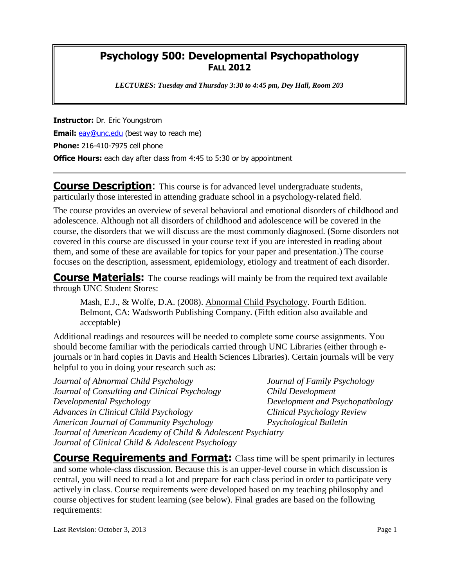## **Psychology 500: Developmental Psychopathology FALL 2012**

*LECTURES: Tuesday and Thursday 3:30 to 4:45 pm, Dey Hall, Room 203*

**Instructor:** Dr. Eric Youngstrom **Email:** [eay@unc.edu](mailto:eay@unc.edu) (best way to reach me) **Phone:** 216-410-7975 cell phone **Office Hours:** each day after class from 4:45 to 5:30 or by appointment

**Course Description:** This course is for advanced level undergraduate students, particularly those interested in attending graduate school in a psychology-related field.

The course provides an overview of several behavioral and emotional disorders of childhood and adolescence. Although not all disorders of childhood and adolescence will be covered in the course, the disorders that we will discuss are the most commonly diagnosed. (Some disorders not covered in this course are discussed in your course text if you are interested in reading about them, and some of these are available for topics for your paper and presentation.) The course focuses on the description, assessment, epidemiology, etiology and treatment of each disorder.

**Course Materials:** The course readings will mainly be from the required text available through UNC Student Stores:

Mash, E.J., & Wolfe, D.A. (2008). Abnormal Child Psychology. Fourth Edition. Belmont, CA: Wadsworth Publishing Company. (Fifth edition also available and acceptable)

Additional readings and resources will be needed to complete some course assignments. You should become familiar with the periodicals carried through UNC Libraries (either through ejournals or in hard copies in Davis and Health Sciences Libraries). Certain journals will be very helpful to you in doing your research such as:

*Journal of Abnormal Child Psychology Journal of Family Psychology Journal of Consulting and Clinical Psychology Child Development Developmental Psychology Development and Psychopathology Advances in Clinical Child Psychology Clinical Psychology Review American Journal of Community Psychology Psychological Bulletin Journal of American Academy of Child & Adolescent Psychiatry Journal of Clinical Child & Adolescent Psychology*

**Course Requirements and Format:** Class time will be spent primarily in lectures and some whole-class discussion. Because this is an upper-level course in which discussion is central, you will need to read a lot and prepare for each class period in order to participate very actively in class. Course requirements were developed based on my teaching philosophy and course objectives for student learning (see below). Final grades are based on the following requirements: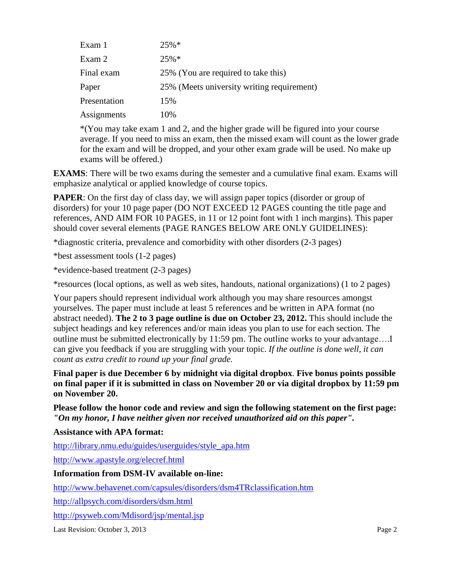| Exam 1       | $25\%*$                                    |
|--------------|--------------------------------------------|
| Exam 2       | $25%$ *                                    |
| Final exam   | 25% (You are required to take this)        |
| Paper        | 25% (Meets university writing requirement) |
| Presentation | 15%                                        |
| Assignments  | 10%                                        |

\*(You may take exam 1 and 2, and the higher grade will be figured into your course average. If you need to miss an exam, then the missed exam will count as the lower grade for the exam and will be dropped, and your other exam grade will be used. No make up exams will be offered.)

**EXAMS**: There will be two exams during the semester and a cumulative final exam. Exams will emphasize analytical or applied knowledge of course topics.

**PAPER**: On the first day of class day, we will assign paper topics (disorder or group of disorders) for your 10 page paper (DO NOT EXCEED 12 PAGES counting the title page and references, AND AIM FOR 10 PAGES, in 11 or 12 point font with 1 inch margins). This paper should cover several elements (PAGE RANGES BELOW ARE ONLY GUIDELINES):

\*diagnostic criteria, prevalence and comorbidity with other disorders (2-3 pages)

\*best assessment tools (1-2 pages)

\*evidence-based treatment (2-3 pages)

\*resources (local options, as well as web sites, handouts, national organizations) (1 to 2 pages)

Your papers should represent individual work although you may share resources amongst yourselves. The paper must include at least 5 references and be written in APA format (no abstract needed). **The 2 to 3 page outline is due on October 23, 2012.** This should include the subject headings and key references and/or main ideas you plan to use for each section. The outline must be submitted electronically by 11:59 pm. The outline works to your advantage….I can give you feedback if you are struggling with your topic. *If the outline is done well, it can count as extra credit to round up your final grade.*

**Final paper is due December 6 by midnight via digital dropbox**. **Five bonus points possible on final paper if it is submitted in class on November 20 or via digital dropbox by 11:59 pm on November 20.**

**Please follow the honor code and review and sign the following statement on the first page:**  *"On my honor, I have neither given nor received unauthorized aid on this paper".*

**Assistance with APA format:**

[http://library.nmu.edu/guides/userguides/style\\_apa.htm](http://library.nmu.edu/guides/userguides/style_apa.htm)

<http://www.apastyle.org/elecref.html>

**Information from DSM-IV available on-line:**

<http://www.behavenet.com/capsules/disorders/dsm4TRclassification.htm>

<http://allpsych.com/disorders/dsm.html>

<http://psyweb.com/Mdisord/jsp/mental.jsp>

Last Revision: October 3, 2013 Page 2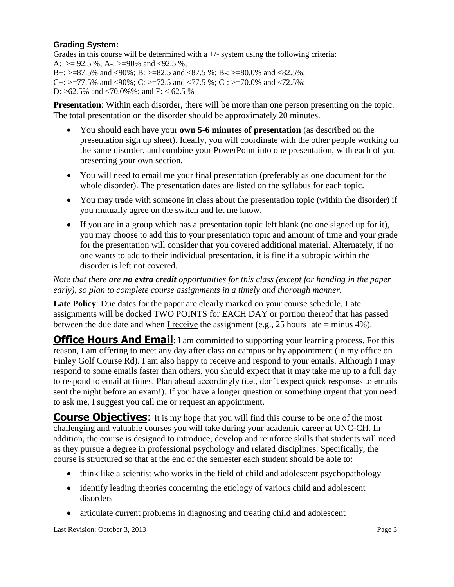## **Grading System:**

Grades in this course will be determined with a  $+/-$  system using the following criteria: A:  $> = 92.5$  %; A-:  $> = 90\%$  and  $< 92.5$  %; B+:  $> = 87.5\%$  and  $< 90\%$ ; B:  $> = 82.5$  and  $< 87.5\%$ ; B-:  $> = 80.0\%$  and  $< 82.5\%$ ; C+:  $> = 77.5\%$  and <90%; C:  $> = 72.5$  and <77.5 %; C-:  $> = 70.0\%$  and <72.5%; D:  $>62.5\%$  and  $<70.0\%$ %; and F:  $< 62.5\%$ 

**Presentation**: Within each disorder, there will be more than one person presenting on the topic. The total presentation on the disorder should be approximately 20 minutes.

- You should each have your **own 5-6 minutes of presentation** (as described on the presentation sign up sheet). Ideally, you will coordinate with the other people working on the same disorder, and combine your PowerPoint into one presentation, with each of you presenting your own section.
- You will need to email me your final presentation (preferably as one document for the whole disorder). The presentation dates are listed on the syllabus for each topic.
- You may trade with someone in class about the presentation topic (within the disorder) if you mutually agree on the switch and let me know.
- If you are in a group which has a presentation topic left blank (no one signed up for it), you may choose to add this to your presentation topic and amount of time and your grade for the presentation will consider that you covered additional material. Alternately, if no one wants to add to their individual presentation, it is fine if a subtopic within the disorder is left not covered.

*Note that there are no extra credit opportunities for this class (except for handing in the paper early), so plan to complete course assignments in a timely and thorough manner.*

**Late Policy**: Due dates for the paper are clearly marked on your course schedule. Late assignments will be docked TWO POINTS for EACH DAY or portion thereof that has passed between the due date and when I receive the assignment (e.g., 25 hours late  $=$  minus 4%).

**Office Hours And Email:** I am committed to supporting your learning process. For this reason, I am offering to meet any day after class on campus or by appointment (in my office on Finley Golf Course Rd). I am also happy to receive and respond to your emails. Although I may respond to some emails faster than others, you should expect that it may take me up to a full day to respond to email at times. Plan ahead accordingly (i.e., don't expect quick responses to emails sent the night before an exam!). If you have a longer question or something urgent that you need to ask me, I suggest you call me or request an appointment.

**Course Objectives:** It is my hope that you will find this course to be one of the most challenging and valuable courses you will take during your academic career at UNC-CH. In addition, the course is designed to introduce, develop and reinforce skills that students will need as they pursue a degree in professional psychology and related disciplines. Specifically, the course is structured so that at the end of the semester each student should be able to:

- think like a scientist who works in the field of child and adolescent psychopathology
- identify leading theories concerning the etiology of various child and adolescent disorders
- articulate current problems in diagnosing and treating child and adolescent

Last Revision: October 3, 2013 Page 3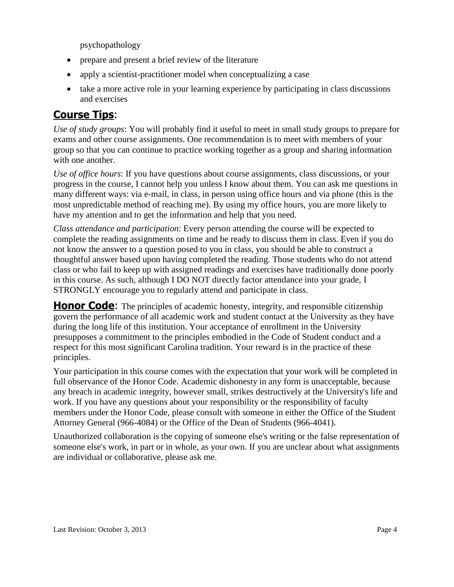psychopathology

- prepare and present a brief review of the literature
- apply a scientist-practitioner model when conceptualizing a case
- take a more active role in your learning experience by participating in class discussions and exercises

## **Course Tips**:

*Use of study groups*: You will probably find it useful to meet in small study groups to prepare for exams and other course assignments. One recommendation is to meet with members of your group so that you can continue to practice working together as a group and sharing information with one another.

*Use of office hours*: If you have questions about course assignments, class discussions, or your progress in the course, I cannot help you unless I know about them. You can ask me questions in many different ways: via e-mail, in class, in person using office hours and via phone (this is the most unpredictable method of reaching me). By using my office hours, you are more likely to have my attention and to get the information and help that you need.

*Class attendance and participation*: Every person attending the course will be expected to complete the reading assignments on time and be ready to discuss them in class. Even if you do not know the answer to a question posed to you in class, you should be able to construct a thoughtful answer based upon having completed the reading. Those students who do not attend class or who fail to keep up with assigned readings and exercises have traditionally done poorly in this course. As such, although I DO NOT directly factor attendance into your grade, I STRONGLY encourage you to regularly attend and participate in class.

**Honor Code:** The principles of academic honesty, integrity, and responsible citizenship govern the performance of all academic work and student contact at the University as they have during the long life of this institution. Your acceptance of enrollment in the University presupposes a commitment to the principles embodied in the Code of Student conduct and a respect for this most significant Carolina tradition. Your reward is in the practice of these principles.

Your participation in this course comes with the expectation that your work will be completed in full observance of the Honor Code. Academic dishonesty in any form is unacceptable, because any breach in academic integrity, however small, strikes destructively at the University's life and work. If you have any questions about your responsibility or the responsibility of faculty members under the Honor Code, please consult with someone in either the Office of the Student Attorney General (966-4084) or the Office of the Dean of Students (966-4041).

Unauthorized collaboration is the copying of someone else's writing or the false representation of someone else's work, in part or in whole, as your own. If you are unclear about what assignments are individual or collaborative, please ask me.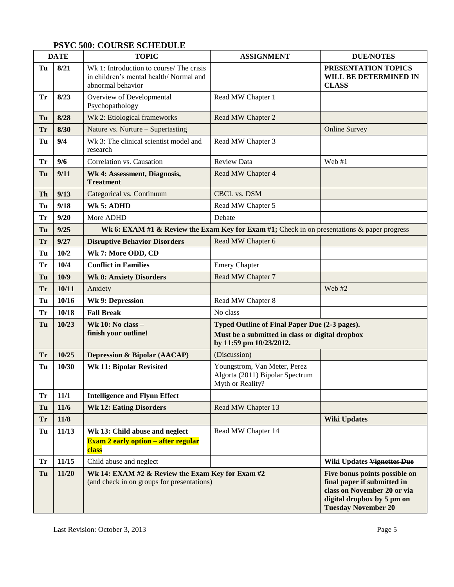## **PSYC 500: COURSE SCHEDULE**

| <b>DATE</b> |       | <b>TOPIC</b>                                                                                            | <b>ASSIGNMENT</b>                                                                                                           | <b>DUE/NOTES</b>                                                                                                                                        |  |
|-------------|-------|---------------------------------------------------------------------------------------------------------|-----------------------------------------------------------------------------------------------------------------------------|---------------------------------------------------------------------------------------------------------------------------------------------------------|--|
| Tu          | 8/21  | Wk 1: Introduction to course/ The crisis<br>in children's mental health/Normal and<br>abnormal behavior |                                                                                                                             | PRESENTATION TOPICS<br>WILL BE DETERMINED IN<br><b>CLASS</b>                                                                                            |  |
| Tr          | 8/23  | Overview of Developmental<br>Psychopathology                                                            | Read MW Chapter 1                                                                                                           |                                                                                                                                                         |  |
| Tu          | 8/28  | Wk 2: Etiological frameworks                                                                            | Read MW Chapter 2                                                                                                           |                                                                                                                                                         |  |
| <b>Tr</b>   | 8/30  | Nature vs. Nurture - Supertasting                                                                       |                                                                                                                             | <b>Online Survey</b>                                                                                                                                    |  |
| Tu          | 9/4   | Wk 3: The clinical scientist model and<br>research                                                      | Read MW Chapter 3                                                                                                           |                                                                                                                                                         |  |
| Tr          | 9/6   | Correlation vs. Causation                                                                               | <b>Review Data</b>                                                                                                          | Web $#1$                                                                                                                                                |  |
| Tu          | 9/11  | Wk 4: Assessment, Diagnosis,<br><b>Treatment</b>                                                        | Read MW Chapter 4                                                                                                           |                                                                                                                                                         |  |
| Th          | 9/13  | Categorical vs. Continuum                                                                               | <b>CBCL vs. DSM</b>                                                                                                         |                                                                                                                                                         |  |
| Tu          | 9/18  | Wk 5: ADHD                                                                                              | Read MW Chapter 5                                                                                                           |                                                                                                                                                         |  |
| Tr          | 9/20  | More ADHD                                                                                               | Debate                                                                                                                      |                                                                                                                                                         |  |
| Tu          | 9/25  | Wk 6: EXAM #1 & Review the Exam Key for Exam #1; Check in on presentations & paper progress             |                                                                                                                             |                                                                                                                                                         |  |
| <b>Tr</b>   | 9/27  | <b>Disruptive Behavior Disorders</b>                                                                    | Read MW Chapter 6                                                                                                           |                                                                                                                                                         |  |
| Tu          | 10/2  | Wk 7: More ODD, CD                                                                                      |                                                                                                                             |                                                                                                                                                         |  |
| Tr          | 10/4  | <b>Conflict in Families</b>                                                                             | <b>Emery Chapter</b>                                                                                                        |                                                                                                                                                         |  |
| Tu          | 10/9  | <b>Wk 8: Anxiety Disorders</b>                                                                          | Read MW Chapter 7                                                                                                           |                                                                                                                                                         |  |
| <b>Tr</b>   | 10/11 | Anxiety                                                                                                 |                                                                                                                             | Web #2                                                                                                                                                  |  |
| Tu          | 10/16 | <b>Wk 9: Depression</b>                                                                                 | Read MW Chapter 8                                                                                                           |                                                                                                                                                         |  |
| Tr          | 10/18 | <b>Fall Break</b>                                                                                       | No class                                                                                                                    |                                                                                                                                                         |  |
| Tu          | 10/23 | Wk 10: No class -<br>finish your outline!                                                               | Typed Outline of Final Paper Due (2-3 pages).<br>Must be a submitted in class or digital dropbox<br>by 11:59 pm 10/23/2012. |                                                                                                                                                         |  |
| <b>Tr</b>   | 10/25 | <b>Depression &amp; Bipolar (AACAP)</b>                                                                 | (Discussion)                                                                                                                |                                                                                                                                                         |  |
| Tu          | 10/30 | <b>Wk 11: Bipolar Revisited</b>                                                                         | Youngstrom, Van Meter, Perez<br>Algorta (2011) Bipolar Spectrum<br>Myth or Reality?                                         |                                                                                                                                                         |  |
| <b>Tr</b>   | 11/1  | <b>Intelligence and Flynn Effect</b>                                                                    |                                                                                                                             |                                                                                                                                                         |  |
| Tu          | 11/6  | <b>Wk 12: Eating Disorders</b>                                                                          | Read MW Chapter 13                                                                                                          |                                                                                                                                                         |  |
| Tr          | 11/8  |                                                                                                         |                                                                                                                             | Wiki Updates                                                                                                                                            |  |
| Tu          | 11/13 | Wk 13: Child abuse and neglect<br><b>Exam 2 early option – after regular</b><br>class                   | Read MW Chapter 14                                                                                                          |                                                                                                                                                         |  |
| Tr          | 11/15 | Child abuse and neglect                                                                                 |                                                                                                                             | <b>Wiki Updates Vignettes Due</b>                                                                                                                       |  |
| Tu          | 11/20 | Wk 14: EXAM #2 & Review the Exam Key for Exam #2<br>(and check in on groups for presentations)          |                                                                                                                             | Five bonus points possible on<br>final paper if submitted in<br>class on November 20 or via<br>digital dropbox by 5 pm on<br><b>Tuesday November 20</b> |  |